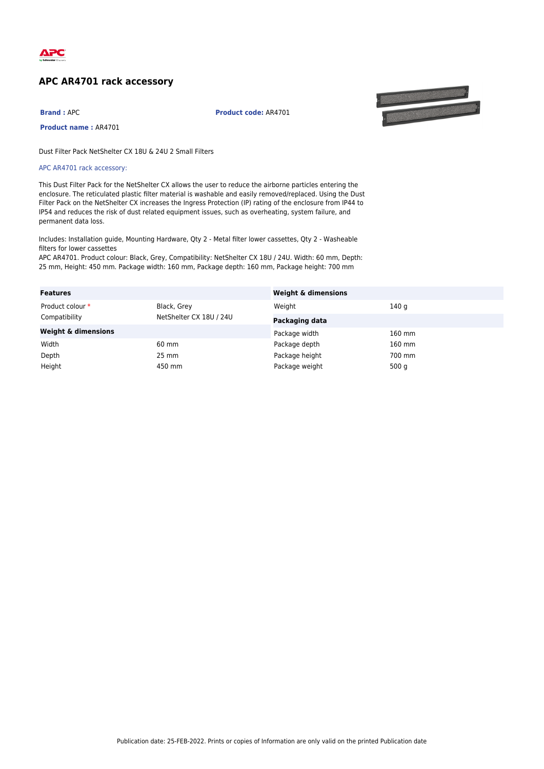

## **APC AR4701 rack accessory**

**Brand :** APC **Product code:** AR4701



**Product name :** AR4701

Dust Filter Pack NetShelter CX 18U & 24U 2 Small Filters

APC AR4701 rack accessory:

This Dust Filter Pack for the NetShelter CX allows the user to reduce the airborne particles entering the enclosure. The reticulated plastic filter material is washable and easily removed/replaced. Using the Dust Filter Pack on the NetShelter CX increases the Ingress Protection (IP) rating of the enclosure from IP44 to IP54 and reduces the risk of dust related equipment issues, such as overheating, system failure, and permanent data loss.

Includes: Installation guide, Mounting Hardware, Qty 2 - Metal filter lower cassettes, Qty 2 - Washeable filters for lower cassettes

APC AR4701. Product colour: Black, Grey, Compatibility: NetShelter CX 18U / 24U. Width: 60 mm, Depth: 25 mm, Height: 450 mm. Package width: 160 mm, Package depth: 160 mm, Package height: 700 mm

| <b>Features</b>                |                                        | <b>Weight &amp; dimensions</b> |          |
|--------------------------------|----------------------------------------|--------------------------------|----------|
| Product colour *               | Black, Grey<br>NetShelter CX 18U / 24U | Weight                         | 140 g    |
| Compatibility                  |                                        | Packaging data                 |          |
| <b>Weight &amp; dimensions</b> |                                        | Package width                  | 160 mm   |
| Width                          | 60 mm                                  | Package depth                  | $160$ mm |
| Depth                          | 25 mm                                  | Package height                 | 700 mm   |
| Height                         | 450 mm                                 | Package weight                 | 500 $q$  |